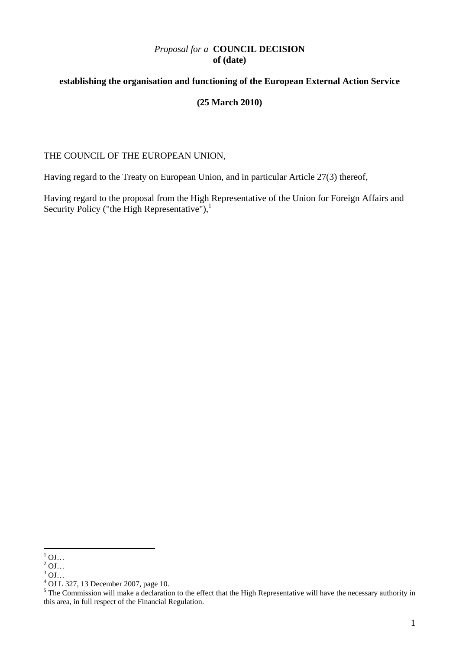# *Proposal for a* **COUNCIL DECISION of (date)**

# **establishing the organisation and functioning of the European External Action Service**

#### **(25 March 2010)**

#### THE COUNCIL OF THE EUROPEAN UNION,

Having regard to the Treaty on European Union, and in particular Article 27(3) thereof,

Having regard to the proposal from the High Representative of the Union for Foreign Affairs and Security Policy ("the High Representative"), $\frac{1}{1}$ 

 $^{1}$  OJ...

 $^{2}$  OJ...

 $3$  OJ...

<sup>4</sup> OJ L 327, 13 December 2007, page 10.

<sup>&</sup>lt;sup>5</sup> The Commission will make a declaration to the effect that the High Representative will have the necessary authority in this area, in full respect of the Financial Regulation.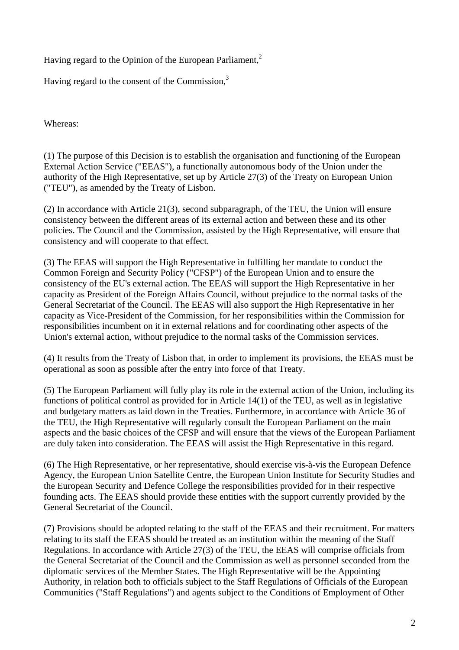Having regard to the Opinion of the European Parliament,<sup>2</sup>

Having regard to the consent of the Commission,<sup>3</sup>

Whereas:

(1) The purpose of this Decision is to establish the organisation and functioning of the European External Action Service ("EEAS"), a functionally autonomous body of the Union under the authority of the High Representative, set up by Article 27(3) of the Treaty on European Union ("TEU"), as amended by the Treaty of Lisbon.

(2) In accordance with Article 21(3), second subparagraph, of the TEU, the Union will ensure consistency between the different areas of its external action and between these and its other policies. The Council and the Commission, assisted by the High Representative, will ensure that consistency and will cooperate to that effect.

(3) The EEAS will support the High Representative in fulfilling her mandate to conduct the Common Foreign and Security Policy ("CFSP") of the European Union and to ensure the consistency of the EU's external action. The EEAS will support the High Representative in her capacity as President of the Foreign Affairs Council, without prejudice to the normal tasks of the General Secretariat of the Council. The EEAS will also support the High Representative in her capacity as Vice-President of the Commission, for her responsibilities within the Commission for responsibilities incumbent on it in external relations and for coordinating other aspects of the Union's external action, without prejudice to the normal tasks of the Commission services.

(4) It results from the Treaty of Lisbon that, in order to implement its provisions, the EEAS must be operational as soon as possible after the entry into force of that Treaty.

(5) The European Parliament will fully play its role in the external action of the Union, including its functions of political control as provided for in Article 14(1) of the TEU, as well as in legislative and budgetary matters as laid down in the Treaties. Furthermore, in accordance with Article 36 of the TEU, the High Representative will regularly consult the European Parliament on the main aspects and the basic choices of the CFSP and will ensure that the views of the European Parliament are duly taken into consideration. The EEAS will assist the High Representative in this regard.

(6) The High Representative, or her representative, should exercise vis-à-vis the European Defence Agency, the European Union Satellite Centre, the European Union Institute for Security Studies and the European Security and Defence College the responsibilities provided for in their respective founding acts. The EEAS should provide these entities with the support currently provided by the General Secretariat of the Council.

(7) Provisions should be adopted relating to the staff of the EEAS and their recruitment. For matters relating to its staff the EEAS should be treated as an institution within the meaning of the Staff Regulations. In accordance with Article 27(3) of the TEU, the EEAS will comprise officials from the General Secretariat of the Council and the Commission as well as personnel seconded from the diplomatic services of the Member States. The High Representative will be the Appointing Authority, in relation both to officials subject to the Staff Regulations of Officials of the European Communities ("Staff Regulations") and agents subject to the Conditions of Employment of Other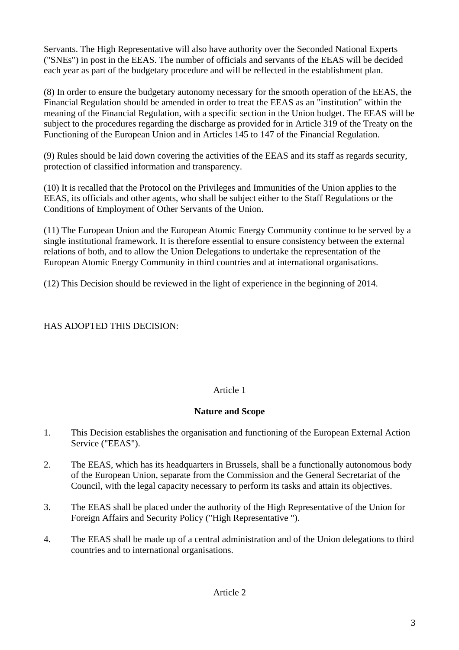Servants. The High Representative will also have authority over the Seconded National Experts ("SNEs") in post in the EEAS. The number of officials and servants of the EEAS will be decided each year as part of the budgetary procedure and will be reflected in the establishment plan.

(8) In order to ensure the budgetary autonomy necessary for the smooth operation of the EEAS, the Financial Regulation should be amended in order to treat the EEAS as an "institution" within the meaning of the Financial Regulation, with a specific section in the Union budget. The EEAS will be subject to the procedures regarding the discharge as provided for in Article 319 of the Treaty on the Functioning of the European Union and in Articles 145 to 147 of the Financial Regulation.

(9) Rules should be laid down covering the activities of the EEAS and its staff as regards security, protection of classified information and transparency.

(10) It is recalled that the Protocol on the Privileges and Immunities of the Union applies to the EEAS, its officials and other agents, who shall be subject either to the Staff Regulations or the Conditions of Employment of Other Servants of the Union.

(11) The European Union and the European Atomic Energy Community continue to be served by a single institutional framework. It is therefore essential to ensure consistency between the external relations of both, and to allow the Union Delegations to undertake the representation of the European Atomic Energy Community in third countries and at international organisations.

(12) This Decision should be reviewed in the light of experience in the beginning of 2014.

# HAS ADOPTED THIS DECISION:

# Article 1

### **Nature and Scope**

- 1. This Decision establishes the organisation and functioning of the European External Action Service ("EEAS").
- 2. The EEAS, which has its headquarters in Brussels, shall be a functionally autonomous body of the European Union, separate from the Commission and the General Secretariat of the Council, with the legal capacity necessary to perform its tasks and attain its objectives.
- 3. The EEAS shall be placed under the authority of the High Representative of the Union for Foreign Affairs and Security Policy ("High Representative ").
- 4. The EEAS shall be made up of a central administration and of the Union delegations to third countries and to international organisations.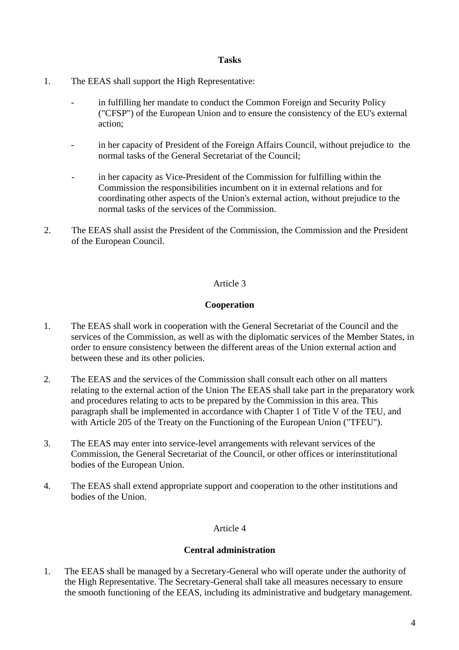#### **Tasks**

- 1. The EEAS shall support the High Representative:
	- in fulfilling her mandate to conduct the Common Foreign and Security Policy ("CFSP") of the European Union and to ensure the consistency of the EU's external action;
	- in her capacity of President of the Foreign Affairs Council, without prejudice to the normal tasks of the General Secretariat of the Council;
	- in her capacity as Vice-President of the Commission for fulfilling within the Commission the responsibilities incumbent on it in external relations and for coordinating other aspects of the Union's external action, without prejudice to the normal tasks of the services of the Commission.
- 2. The EEAS shall assist the President of the Commission, the Commission and the President of the European Council.

# Article 3

# **Cooperation**

- 1. The EEAS shall work in cooperation with the General Secretariat of the Council and the services of the Commission, as well as with the diplomatic services of the Member States, in order to ensure consistency between the different areas of the Union external action and between these and its other policies.
- 2. The EEAS and the services of the Commission shall consult each other on all matters relating to the external action of the Union The EEAS shall take part in the preparatory work and procedures relating to acts to be prepared by the Commission in this area. This paragraph shall be implemented in accordance with Chapter 1 of Title V of the TEU, and with Article 205 of the Treaty on the Functioning of the European Union ("TFEU").
- 3. The EEAS may enter into service-level arrangements with relevant services of the Commission, the General Secretariat of the Council, or other offices or interinstitutional bodies of the European Union.
- 4. The EEAS shall extend appropriate support and cooperation to the other institutions and bodies of the Union.

### Article 4

### **Central administration**

1. The EEAS shall be managed by a Secretary-General who will operate under the authority of the High Representative. The Secretary-General shall take all measures necessary to ensure the smooth functioning of the EEAS, including its administrative and budgetary management.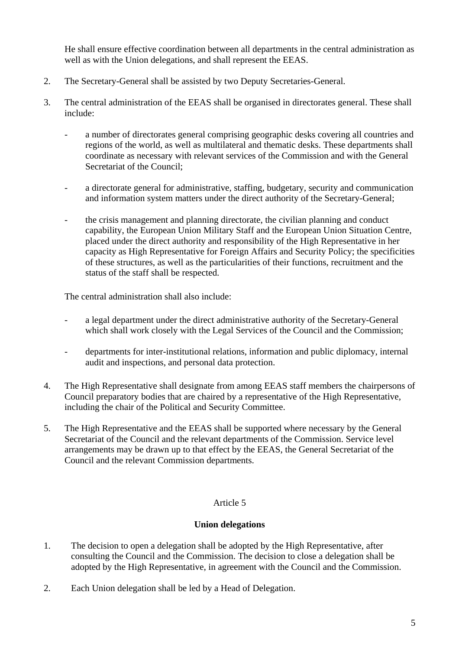He shall ensure effective coordination between all departments in the central administration as well as with the Union delegations, and shall represent the EEAS.

- 2. The Secretary-General shall be assisted by two Deputy Secretaries-General.
- 3. The central administration of the EEAS shall be organised in directorates general. These shall include:
	- a number of directorates general comprising geographic desks covering all countries and regions of the world, as well as multilateral and thematic desks. These departments shall coordinate as necessary with relevant services of the Commission and with the General Secretariat of the Council;
	- a directorate general for administrative, staffing, budgetary, security and communication and information system matters under the direct authority of the Secretary-General;
	- the crisis management and planning directorate, the civilian planning and conduct capability, the European Union Military Staff and the European Union Situation Centre, placed under the direct authority and responsibility of the High Representative in her capacity as High Representative for Foreign Affairs and Security Policy; the specificities of these structures, as well as the particularities of their functions, recruitment and the status of the staff shall be respected.

The central administration shall also include:

- a legal department under the direct administrative authority of the Secretary-General which shall work closely with the Legal Services of the Council and the Commission;
- departments for inter-institutional relations, information and public diplomacy, internal audit and inspections, and personal data protection.
- 4. The High Representative shall designate from among EEAS staff members the chairpersons of Council preparatory bodies that are chaired by a representative of the High Representative, including the chair of the Political and Security Committee.
- 5. The High Representative and the EEAS shall be supported where necessary by the General Secretariat of the Council and the relevant departments of the Commission. Service level arrangements may be drawn up to that effect by the EEAS, the General Secretariat of the Council and the relevant Commission departments.

### Article 5

### **Union delegations**

- 1. The decision to open a delegation shall be adopted by the High Representative, after consulting the Council and the Commission. The decision to close a delegation shall be adopted by the High Representative, in agreement with the Council and the Commission.
- 2. Each Union delegation shall be led by a Head of Delegation.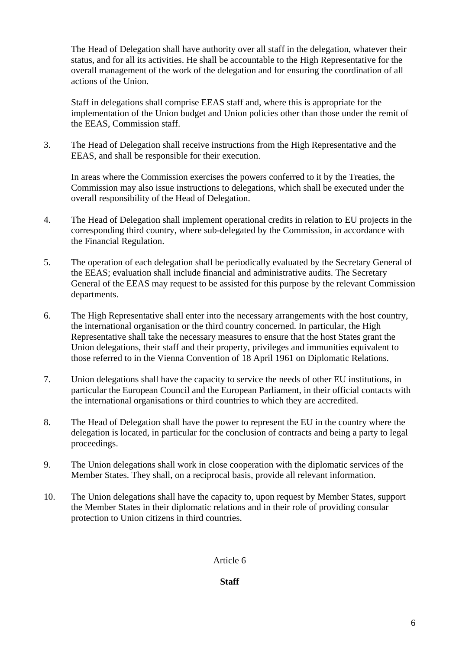The Head of Delegation shall have authority over all staff in the delegation, whatever their status, and for all its activities. He shall be accountable to the High Representative for the overall management of the work of the delegation and for ensuring the coordination of all actions of the Union.

 Staff in delegations shall comprise EEAS staff and, where this is appropriate for the implementation of the Union budget and Union policies other than those under the remit of the EEAS, Commission staff.

3. The Head of Delegation shall receive instructions from the High Representative and the EEAS, and shall be responsible for their execution.

 In areas where the Commission exercises the powers conferred to it by the Treaties, the Commission may also issue instructions to delegations, which shall be executed under the overall responsibility of the Head of Delegation.

- 4. The Head of Delegation shall implement operational credits in relation to EU projects in the corresponding third country, where sub-delegated by the Commission, in accordance with the Financial Regulation.
- 5. The operation of each delegation shall be periodically evaluated by the Secretary General of the EEAS; evaluation shall include financial and administrative audits. The Secretary General of the EEAS may request to be assisted for this purpose by the relevant Commission departments.
- 6. The High Representative shall enter into the necessary arrangements with the host country, the international organisation or the third country concerned. In particular, the High Representative shall take the necessary measures to ensure that the host States grant the Union delegations, their staff and their property, privileges and immunities equivalent to those referred to in the Vienna Convention of 18 April 1961 on Diplomatic Relations.
- 7. Union delegations shall have the capacity to service the needs of other EU institutions, in particular the European Council and the European Parliament, in their official contacts with the international organisations or third countries to which they are accredited.
- 8. The Head of Delegation shall have the power to represent the EU in the country where the delegation is located, in particular for the conclusion of contracts and being a party to legal proceedings.
- 9. The Union delegations shall work in close cooperation with the diplomatic services of the Member States. They shall, on a reciprocal basis, provide all relevant information.
- 10. The Union delegations shall have the capacity to, upon request by Member States, support the Member States in their diplomatic relations and in their role of providing consular protection to Union citizens in third countries.

#### Article 6

### **Staff**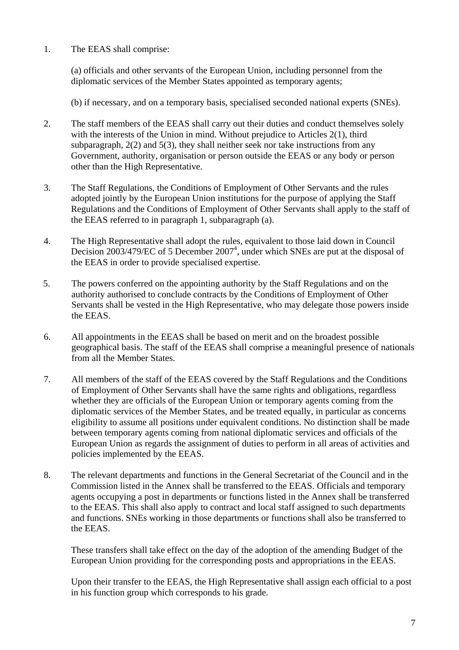1. The EEAS shall comprise:

 (a) officials and other servants of the European Union, including personnel from the diplomatic services of the Member States appointed as temporary agents;

(b) if necessary, and on a temporary basis, specialised seconded national experts (SNEs).

- 2. The staff members of the EEAS shall carry out their duties and conduct themselves solely with the interests of the Union in mind. Without prejudice to Articles 2(1), third subparagraph,  $2(2)$  and  $5(3)$ , they shall neither seek nor take instructions from any Government, authority, organisation or person outside the EEAS or any body or person other than the High Representative.
- 3. The Staff Regulations, the Conditions of Employment of Other Servants and the rules adopted jointly by the European Union institutions for the purpose of applying the Staff Regulations and the Conditions of Employment of Other Servants shall apply to the staff of the EEAS referred to in paragraph 1, subparagraph (a).
- 4. The High Representative shall adopt the rules, equivalent to those laid down in Council Decision  $2003/479$ /EC of 5 December  $2007<sup>4</sup>$ , under which SNEs are put at the disposal of the EEAS in order to provide specialised expertise.
- 5. The powers conferred on the appointing authority by the Staff Regulations and on the authority authorised to conclude contracts by the Conditions of Employment of Other Servants shall be vested in the High Representative, who may delegate those powers inside the EEAS.
- 6. All appointments in the EEAS shall be based on merit and on the broadest possible geographical basis. The staff of the EEAS shall comprise a meaningful presence of nationals from all the Member States.
- 7. All members of the staff of the EEAS covered by the Staff Regulations and the Conditions of Employment of Other Servants shall have the same rights and obligations, regardless whether they are officials of the European Union or temporary agents coming from the diplomatic services of the Member States, and be treated equally, in particular as concerns eligibility to assume all positions under equivalent conditions. No distinction shall be made between temporary agents coming from national diplomatic services and officials of the European Union as regards the assignment of duties to perform in all areas of activities and policies implemented by the EEAS.
- 8. The relevant departments and functions in the General Secretariat of the Council and in the Commission listed in the Annex shall be transferred to the EEAS. Officials and temporary agents occupying a post in departments or functions listed in the Annex shall be transferred to the EEAS. This shall also apply to contract and local staff assigned to such departments and functions. SNEs working in those departments or functions shall also be transferred to the EEAS.

 These transfers shall take effect on the day of the adoption of the amending Budget of the European Union providing for the corresponding posts and appropriations in the EEAS.

 Upon their transfer to the EEAS, the High Representative shall assign each official to a post in his function group which corresponds to his grade.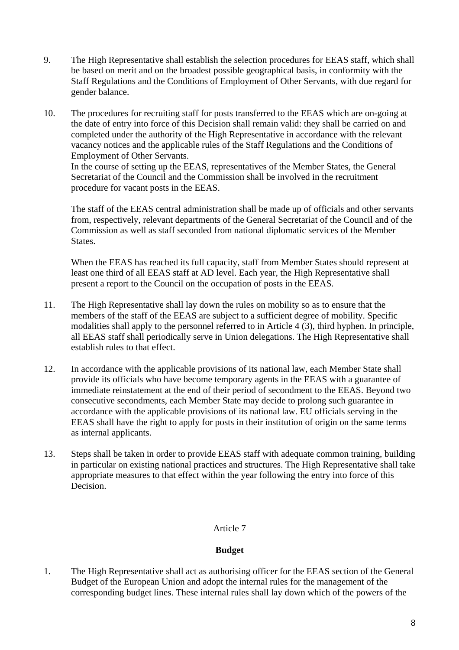- 9. The High Representative shall establish the selection procedures for EEAS staff, which shall be based on merit and on the broadest possible geographical basis, in conformity with the Staff Regulations and the Conditions of Employment of Other Servants, with due regard for gender balance.
- 10. The procedures for recruiting staff for posts transferred to the EEAS which are on-going at the date of entry into force of this Decision shall remain valid: they shall be carried on and completed under the authority of the High Representative in accordance with the relevant vacancy notices and the applicable rules of the Staff Regulations and the Conditions of Employment of Other Servants. In the course of setting up the EEAS, representatives of the Member States, the General

Secretariat of the Council and the Commission shall be involved in the recruitment procedure for vacant posts in the EEAS.

 The staff of the EEAS central administration shall be made up of officials and other servants from, respectively, relevant departments of the General Secretariat of the Council and of the Commission as well as staff seconded from national diplomatic services of the Member States.

 When the EEAS has reached its full capacity, staff from Member States should represent at least one third of all EEAS staff at AD level. Each year, the High Representative shall present a report to the Council on the occupation of posts in the EEAS.

- 11. The High Representative shall lay down the rules on mobility so as to ensure that the members of the staff of the EEAS are subject to a sufficient degree of mobility. Specific modalities shall apply to the personnel referred to in Article 4 (3), third hyphen. In principle, all EEAS staff shall periodically serve in Union delegations. The High Representative shall establish rules to that effect.
- 12. In accordance with the applicable provisions of its national law, each Member State shall provide its officials who have become temporary agents in the EEAS with a guarantee of immediate reinstatement at the end of their period of secondment to the EEAS. Beyond two consecutive secondments, each Member State may decide to prolong such guarantee in accordance with the applicable provisions of its national law. EU officials serving in the EEAS shall have the right to apply for posts in their institution of origin on the same terms as internal applicants.
- 13. Steps shall be taken in order to provide EEAS staff with adequate common training, building in particular on existing national practices and structures. The High Representative shall take appropriate measures to that effect within the year following the entry into force of this Decision.

### Article 7

### **Budget**

1. The High Representative shall act as authorising officer for the EEAS section of the General Budget of the European Union and adopt the internal rules for the management of the corresponding budget lines. These internal rules shall lay down which of the powers of the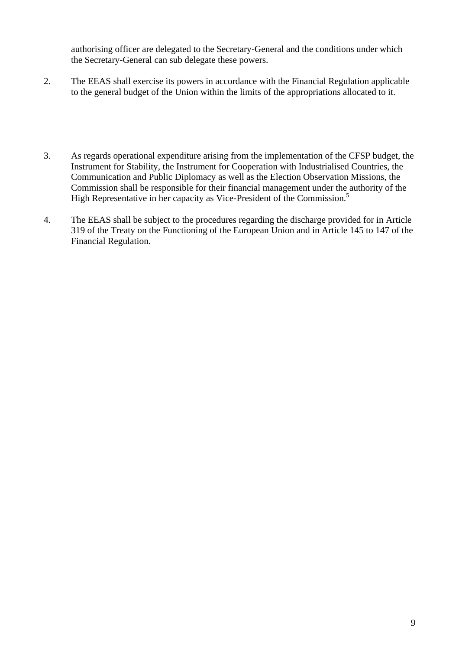authorising officer are delegated to the Secretary-General and the conditions under which the Secretary-General can sub delegate these powers.

- 2. The EEAS shall exercise its powers in accordance with the Financial Regulation applicable to the general budget of the Union within the limits of the appropriations allocated to it.
- 3. As regards operational expenditure arising from the implementation of the CFSP budget, the Instrument for Stability, the Instrument for Cooperation with Industrialised Countries, the Communication and Public Diplomacy as well as the Election Observation Missions, the Commission shall be responsible for their financial management under the authority of the High Representative in her capacity as Vice-President of the Commission.<sup>5</sup>
- 4. The EEAS shall be subject to the procedures regarding the discharge provided for in Article 319 of the Treaty on the Functioning of the European Union and in Article 145 to 147 of the Financial Regulation.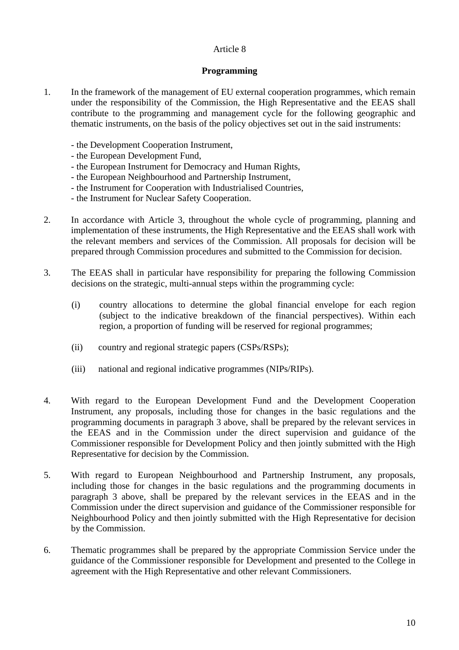### Article 8

#### **Programming**

- 1. In the framework of the management of EU external cooperation programmes, which remain under the responsibility of the Commission, the High Representative and the EEAS shall contribute to the programming and management cycle for the following geographic and thematic instruments, on the basis of the policy objectives set out in the said instruments:
	- the Development Cooperation Instrument,
	- the European Development Fund,
	- the European Instrument for Democracy and Human Rights,
	- the European Neighbourhood and Partnership Instrument,
	- the Instrument for Cooperation with Industrialised Countries,
	- the Instrument for Nuclear Safety Cooperation.
- 2. In accordance with Article 3, throughout the whole cycle of programming, planning and implementation of these instruments, the High Representative and the EEAS shall work with the relevant members and services of the Commission. All proposals for decision will be prepared through Commission procedures and submitted to the Commission for decision.
- 3. The EEAS shall in particular have responsibility for preparing the following Commission decisions on the strategic, multi-annual steps within the programming cycle:
	- (i) country allocations to determine the global financial envelope for each region (subject to the indicative breakdown of the financial perspectives). Within each region, a proportion of funding will be reserved for regional programmes;
	- (ii) country and regional strategic papers (CSPs/RSPs);
	- (iii) national and regional indicative programmes (NIPs/RIPs).
- 4. With regard to the European Development Fund and the Development Cooperation Instrument, any proposals, including those for changes in the basic regulations and the programming documents in paragraph 3 above, shall be prepared by the relevant services in the EEAS and in the Commission under the direct supervision and guidance of the Commissioner responsible for Development Policy and then jointly submitted with the High Representative for decision by the Commission.
- 5. With regard to European Neighbourhood and Partnership Instrument, any proposals, including those for changes in the basic regulations and the programming documents in paragraph 3 above, shall be prepared by the relevant services in the EEAS and in the Commission under the direct supervision and guidance of the Commissioner responsible for Neighbourhood Policy and then jointly submitted with the High Representative for decision by the Commission.
- 6. Thematic programmes shall be prepared by the appropriate Commission Service under the guidance of the Commissioner responsible for Development and presented to the College in agreement with the High Representative and other relevant Commissioners.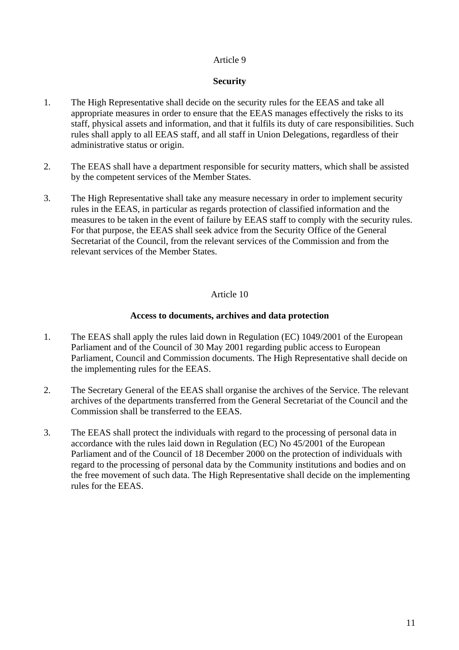### Article 9

#### **Security**

- 1. The High Representative shall decide on the security rules for the EEAS and take all appropriate measures in order to ensure that the EEAS manages effectively the risks to its staff, physical assets and information, and that it fulfils its duty of care responsibilities. Such rules shall apply to all EEAS staff, and all staff in Union Delegations, regardless of their administrative status or origin.
- 2. The EEAS shall have a department responsible for security matters, which shall be assisted by the competent services of the Member States.
- 3. The High Representative shall take any measure necessary in order to implement security rules in the EEAS, in particular as regards protection of classified information and the measures to be taken in the event of failure by EEAS staff to comply with the security rules. For that purpose, the EEAS shall seek advice from the Security Office of the General Secretariat of the Council, from the relevant services of the Commission and from the relevant services of the Member States.

#### Article 10

#### **Access to documents, archives and data protection**

- 1. The EEAS shall apply the rules laid down in Regulation (EC) 1049/2001 of the European Parliament and of the Council of 30 May 2001 regarding public access to European Parliament, Council and Commission documents. The High Representative shall decide on the implementing rules for the EEAS.
- 2. The Secretary General of the EEAS shall organise the archives of the Service. The relevant archives of the departments transferred from the General Secretariat of the Council and the Commission shall be transferred to the EEAS.
- 3. The EEAS shall protect the individuals with regard to the processing of personal data in accordance with the rules laid down in Regulation (EC) No 45/2001 of the European Parliament and of the Council of 18 December 2000 on the protection of individuals with regard to the processing of personal data by the Community institutions and bodies and on the free movement of such data. The High Representative shall decide on the implementing rules for the EEAS.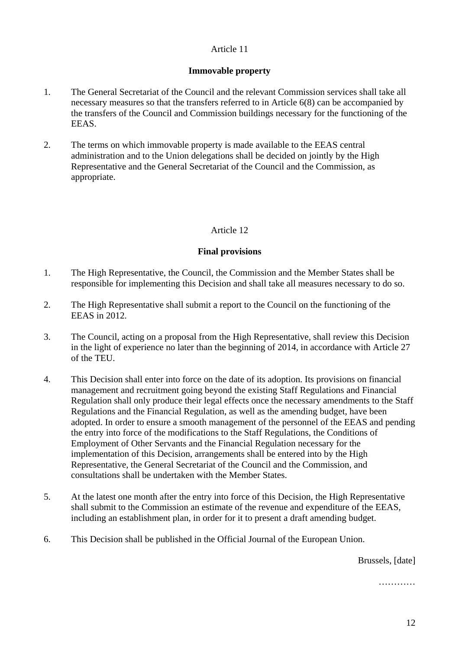# Article 11

### **Immovable property**

- 1. The General Secretariat of the Council and the relevant Commission services shall take all necessary measures so that the transfers referred to in Article 6(8) can be accompanied by the transfers of the Council and Commission buildings necessary for the functioning of the EEAS.
- 2. The terms on which immovable property is made available to the EEAS central administration and to the Union delegations shall be decided on jointly by the High Representative and the General Secretariat of the Council and the Commission, as appropriate.

# Article 12

# **Final provisions**

- 1. The High Representative, the Council, the Commission and the Member States shall be responsible for implementing this Decision and shall take all measures necessary to do so.
- 2. The High Representative shall submit a report to the Council on the functioning of the EEAS in 2012.
- 3. The Council, acting on a proposal from the High Representative, shall review this Decision in the light of experience no later than the beginning of 2014, in accordance with Article 27 of the TEU.
- 4. This Decision shall enter into force on the date of its adoption. Its provisions on financial management and recruitment going beyond the existing Staff Regulations and Financial Regulation shall only produce their legal effects once the necessary amendments to the Staff Regulations and the Financial Regulation, as well as the amending budget, have been adopted. In order to ensure a smooth management of the personnel of the EEAS and pending the entry into force of the modifications to the Staff Regulations, the Conditions of Employment of Other Servants and the Financial Regulation necessary for the implementation of this Decision, arrangements shall be entered into by the High Representative, the General Secretariat of the Council and the Commission, and consultations shall be undertaken with the Member States.
- 5. At the latest one month after the entry into force of this Decision, the High Representative shall submit to the Commission an estimate of the revenue and expenditure of the EEAS, including an establishment plan, in order for it to present a draft amending budget.
- 6. This Decision shall be published in the Official Journal of the European Union.

Brussels, [date]

…………